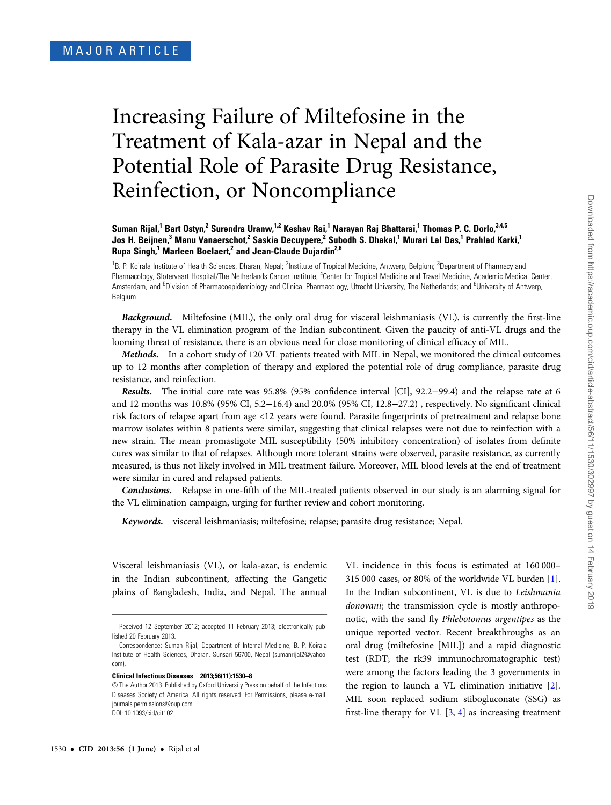# Increasing Failure of Miltefosine in the Treatment of Kala-azar in Nepal and the Potential Role of Parasite Drug Resistance, Reinfection, or Noncompliance

## Suman Rijal,<sup>1</sup> Bart Ostyn,<sup>2</sup> Surendra Uranw,<sup>1,2</sup> Keshav Rai,<sup>1</sup> Narayan Raj Bhattarai,<sup>1</sup> Thomas P. C. Dorlo,<sup>3,4,5</sup> Jos H. Beijnen,<sup>3</sup> Manu Vanaerschot,<sup>2</sup> Saskia Decuypere,<sup>2</sup> Subodh S. Dhakal,<sup>1</sup> Murari Lal Das,<sup>1</sup> Prahlad Karki,<sup>1</sup> Rupa Singh,<sup>1</sup> Marleen Boelaert,<sup>2</sup> and Jean-Claude Dujardin<sup>2,6</sup>

<sup>1</sup>B. P. Koirala Institute of Health Sciences, Dharan, Nepal; <sup>2</sup>Institute of Tropical Medicine, Antwerp, Belgium; <sup>3</sup>Department of Pharmacy and Pharmacology, Slotervaart Hospital/The Netherlands Cancer Institute, <sup>4</sup>Center for Tropical Medicine and Travel Medicine, Academic Medical Center, Amsterdam, and <sup>5</sup>Division of Pharmacoepidemiology and Clinical Pharmacology, Utrecht University, The Netherlands; and <sup>6</sup>University of Antwerp, Belgium

**Background.** Miltefosine (MIL), the only oral drug for visceral leishmaniasis (VL), is currently the first-line therapy in the VL elimination program of the Indian subcontinent. Given the paucity of anti-VL drugs and the looming threat of resistance, there is an obvious need for close monitoring of clinical efficacy of MIL.

Methods. In a cohort study of 120 VL patients treated with MIL in Nepal, we monitored the clinical outcomes up to 12 months after completion of therapy and explored the potential role of drug compliance, parasite drug resistance, and reinfection.

Results. The initial cure rate was 95.8% (95% confidence interval [CI], 92.2−99.4) and the relapse rate at 6 and 12 months was 10.8% (95% CI, 5.2−16.4) and 20.0% (95% CI, 12.8−27.2) , respectively. No significant clinical risk factors of relapse apart from age <12 years were found. Parasite fingerprints of pretreatment and relapse bone marrow isolates within 8 patients were similar, suggesting that clinical relapses were not due to reinfection with a new strain. The mean promastigote MIL susceptibility (50% inhibitory concentration) of isolates from definite cures was similar to that of relapses. Although more tolerant strains were observed, parasite resistance, as currently measured, is thus not likely involved in MIL treatment failure. Moreover, MIL blood levels at the end of treatment were similar in cured and relapsed patients.

Conclusions. Relapse in one-fifth of the MIL-treated patients observed in our study is an alarming signal for the VL elimination campaign, urging for further review and cohort monitoring.

Keywords. visceral leishmaniasis; miltefosine; relapse; parasite drug resistance; Nepal.

Visceral leishmaniasis (VL), or kala-azar, is endemic in the Indian subcontinent, affecting the Gangetic plains of Bangladesh, India, and Nepal. The annual

#### Clinical Infectious Diseases 2013;56(11):1530–8

VL incidence in this focus is estimated at 160 000– 315 000 cases, or 80% of the worldwide VL burden [\[1\]](#page-8-0). In the Indian subcontinent, VL is due to Leishmania donovani; the transmission cycle is mostly anthroponotic, with the sand fly Phlebotomus argentipes as the unique reported vector. Recent breakthroughs as an oral drug (miltefosine [MIL]) and a rapid diagnostic test (RDT; the rk39 immunochromatographic test) were among the factors leading the 3 governments in the region to launch a VL elimination initiative [[2\]](#page-8-0). MIL soon replaced sodium stibogluconate (SSG) as first-line therapy for VL [[3](#page-8-0), [4\]](#page-8-0) as increasing treatment

Received 12 September 2012; accepted 11 February 2013; electronically published 20 February 2013.

Correspondence: Suman Rijal, Department of Internal Medicine, B. P. Koirala Institute of Health Sciences, Dharan, Sunsari 56700, Nepal ([sumanrijal2@yahoo.](mailto:sumanrijal2@yahoo.com) [com](mailto:sumanrijal2@yahoo.com)).

<sup>©</sup> The Author 2013. Published by Oxford University Press on behalf of the Infectious Diseases Society of America. All rights reserved. For Permissions, please e-mail: [journals.permissions@oup.com](mailto:journals.permissions@oup.com). DOI: 10.1093/cid/cit102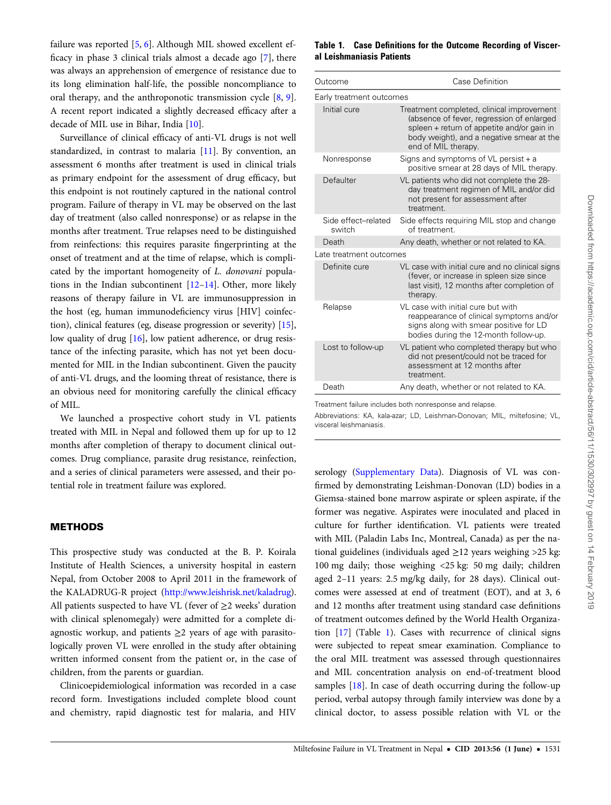failure was reported [[5,](#page-8-0) [6\]](#page-8-0). Although MIL showed excellent efficacy in phase 3 clinical trials almost a decade ago [\[7\]](#page-8-0), there was always an apprehension of emergence of resistance due to its long elimination half-life, the possible noncompliance to oral therapy, and the anthroponotic transmission cycle [[8](#page-8-0), [9\]](#page-8-0). A recent report indicated a slightly decreased efficacy after a decade of MIL use in Bihar, India [[10\]](#page-8-0).

Surveillance of clinical efficacy of anti-VL drugs is not well standardized, in contrast to malaria [[11\]](#page-8-0). By convention, an assessment 6 months after treatment is used in clinical trials as primary endpoint for the assessment of drug efficacy, but this endpoint is not routinely captured in the national control program. Failure of therapy in VL may be observed on the last day of treatment (also called nonresponse) or as relapse in the months after treatment. True relapses need to be distinguished from reinfections: this requires parasite fingerprinting at the onset of treatment and at the time of relapse, which is complicated by the important homogeneity of L. donovani populations in the Indian subcontinent [[12](#page-8-0)–[14\]](#page-8-0). Other, more likely reasons of therapy failure in VL are immunosuppression in the host (eg, human immunodeficiency virus [HIV] coinfection), clinical features (eg, disease progression or severity) [[15\]](#page-8-0), low quality of drug [[16](#page-8-0)], low patient adherence, or drug resistance of the infecting parasite, which has not yet been documented for MIL in the Indian subcontinent. Given the paucity of anti-VL drugs, and the looming threat of resistance, there is an obvious need for monitoring carefully the clinical efficacy of MIL.

We launched a prospective cohort study in VL patients treated with MIL in Nepal and followed them up for up to 12 months after completion of therapy to document clinical outcomes. Drug compliance, parasite drug resistance, reinfection, and a series of clinical parameters were assessed, and their potential role in treatment failure was explored.

## METHODS

This prospective study was conducted at the B. P. Koirala Institute of Health Sciences, a university hospital in eastern Nepal, from October 2008 to April 2011 in the framework of the KALADRUG-R project ([http://www.leishrisk.net/kaladrug\)](http://www.leishrisk.net/kaladrug). All patients suspected to have VL (fever of  $\geq$ 2 weeks' duration with clinical splenomegaly) were admitted for a complete diagnostic workup, and patients  $\geq$ 2 years of age with parasitologically proven VL were enrolled in the study after obtaining written informed consent from the patient or, in the case of children, from the parents or guardian.

Clinicoepidemiological information was recorded in a case record form. Investigations included complete blood count and chemistry, rapid diagnostic test for malaria, and HIV

### Table 1. Case Definitions for the Outcome Recording of Visceral Leishmaniasis Patients

| Outcome                       | Case Definition                                                                                                                                                                                          |  |  |  |
|-------------------------------|----------------------------------------------------------------------------------------------------------------------------------------------------------------------------------------------------------|--|--|--|
| Early treatment outcomes      |                                                                                                                                                                                                          |  |  |  |
| Initial cure                  | Treatment completed, clinical improvement<br>(absence of fever, regression of enlarged<br>spleen + return of appetite and/or gain in<br>body weight), and a negative smear at the<br>end of MIL therapy. |  |  |  |
| Nonresponse                   | Signs and symptoms of $VL$ persist $+$ a<br>positive smear at 28 days of MIL therapy.                                                                                                                    |  |  |  |
| Defaulter                     | VL patients who did not complete the 28-<br>day treatment regimen of MIL and/or did<br>not present for assessment after<br>treatment.                                                                    |  |  |  |
| Side effect-related<br>switch | Side effects requiring MIL stop and change<br>of treatment.                                                                                                                                              |  |  |  |
| Death                         | Any death, whether or not related to KA.                                                                                                                                                                 |  |  |  |
| Late treatment outcomes       |                                                                                                                                                                                                          |  |  |  |
| Definite cure                 | VL case with initial cure and no clinical signs<br>(fever, or increase in spleen size since<br>last visit), 12 months after completion of<br>therapy.                                                    |  |  |  |
| Relapse                       | VL case with initial cure but with<br>reappearance of clinical symptoms and/or<br>signs along with smear positive for LD<br>bodies during the 12-month follow-up.                                        |  |  |  |
| Lost to follow-up             | VL patient who completed therapy but who<br>did not present/could not be traced for<br>assessment at 12 months after<br>treatment.                                                                       |  |  |  |
| Death                         | Any death, whether or not related to KA.                                                                                                                                                                 |  |  |  |

Treatment failure includes both nonresponse and relapse.

Abbreviations: KA, kala-azar; LD, Leishman-Donovan; MIL, miltefosine; VL, visceral leishmaniasis.

serology ([Supplementary Data](http://cid.oxfordjournals.org/lookup/suppl/doi:10.1093/cid/cit102/-/DC1)). Diagnosis of VL was confirmed by demonstrating Leishman-Donovan (LD) bodies in a Giemsa-stained bone marrow aspirate or spleen aspirate, if the former was negative. Aspirates were inoculated and placed in culture for further identification. VL patients were treated with MIL (Paladin Labs Inc, Montreal, Canada) as per the national guidelines (individuals aged  $\geq$ 12 years weighing >25 kg: 100 mg daily; those weighing <25 kg: 50 mg daily; children aged 2–11 years: 2.5 mg/kg daily, for 28 days). Clinical outcomes were assessed at end of treatment (EOT), and at 3, 6 and 12 months after treatment using standard case definitions of treatment outcomes defined by the World Health Organization [\[17](#page-8-0)] (Table 1). Cases with recurrence of clinical signs were subjected to repeat smear examination. Compliance to the oral MIL treatment was assessed through questionnaires and MIL concentration analysis on end-of-treatment blood samples [\[18\]](#page-8-0). In case of death occurring during the follow-up period, verbal autopsy through family interview was done by a clinical doctor, to assess possible relation with VL or the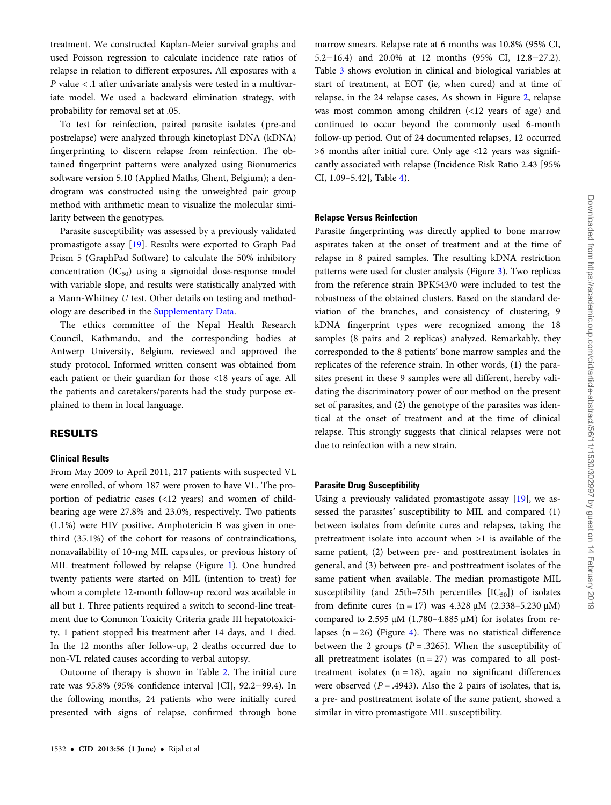treatment. We constructed Kaplan-Meier survival graphs and used Poisson regression to calculate incidence rate ratios of relapse in relation to different exposures. All exposures with a P value < .1 after univariate analysis were tested in a multivariate model. We used a backward elimination strategy, with probability for removal set at .05.

To test for reinfection, paired parasite isolates ( pre-and postrelapse) were analyzed through kinetoplast DNA (kDNA) fingerprinting to discern relapse from reinfection. The obtained fingerprint patterns were analyzed using Bionumerics software version 5.10 (Applied Maths, Ghent, Belgium); a dendrogram was constructed using the unweighted pair group method with arithmetic mean to visualize the molecular similarity between the genotypes.

Parasite susceptibility was assessed by a previously validated promastigote assay [\[19](#page-8-0)]. Results were exported to Graph Pad Prism 5 (GraphPad Software) to calculate the 50% inhibitory concentration  $(IC_{50})$  using a sigmoidal dose-response model with variable slope, and results were statistically analyzed with a Mann-Whitney U test. Other details on testing and methodology are described in the [Supplementary Data.](http://cid.oxfordjournals.org/lookup/suppl/doi:10.1093/cid/cit102/-/DC1)

The ethics committee of the Nepal Health Research Council, Kathmandu, and the corresponding bodies at Antwerp University, Belgium, reviewed and approved the study protocol. Informed written consent was obtained from each patient or their guardian for those <18 years of age. All the patients and caretakers/parents had the study purpose explained to them in local language.

# RESULTS

#### Clinical Results

From May 2009 to April 2011, 217 patients with suspected VL were enrolled, of whom 187 were proven to have VL. The proportion of pediatric cases (<12 years) and women of childbearing age were 27.8% and 23.0%, respectively. Two patients (1.1%) were HIV positive. Amphotericin B was given in onethird (35.1%) of the cohort for reasons of contraindications, nonavailability of 10-mg MIL capsules, or previous history of MIL treatment followed by relapse (Figure [1\)](#page-3-0). One hundred twenty patients were started on MIL (intention to treat) for whom a complete 12-month follow-up record was available in all but 1. Three patients required a switch to second-line treatment due to Common Toxicity Criteria grade III hepatotoxicity, 1 patient stopped his treatment after 14 days, and 1 died. In the 12 months after follow-up, 2 deaths occurred due to non-VL related causes according to verbal autopsy.

Outcome of therapy is shown in Table [2](#page-4-0). The initial cure rate was 95.8% (95% confidence interval [CI], 92.2−99.4). In the following months, 24 patients who were initially cured presented with signs of relapse, confirmed through bone marrow smears. Relapse rate at 6 months was 10.8% (95% CI, 5.2−16.4) and 20.0% at 12 months (95% CI, 12.8−27.2). Table [3](#page-4-0) shows evolution in clinical and biological variables at start of treatment, at EOT (ie, when cured) and at time of relapse, in the 24 relapse cases, As shown in Figure [2](#page-5-0), relapse was most common among children (<12 years of age) and continued to occur beyond the commonly used 6-month follow-up period. Out of 24 documented relapses, 12 occurred >6 months after initial cure. Only age <12 years was significantly associated with relapse (Incidence Risk Ratio 2.43 [95% CI, 1.09–5.42], Table [4\)](#page-5-0).

### Relapse Versus Reinfection

Parasite fingerprinting was directly applied to bone marrow aspirates taken at the onset of treatment and at the time of relapse in 8 paired samples. The resulting kDNA restriction patterns were used for cluster analysis (Figure [3](#page-6-0)). Two replicas from the reference strain BPK543/0 were included to test the robustness of the obtained clusters. Based on the standard deviation of the branches, and consistency of clustering, 9 kDNA fingerprint types were recognized among the 18 samples (8 pairs and 2 replicas) analyzed. Remarkably, they corresponded to the 8 patients' bone marrow samples and the replicates of the reference strain. In other words, (1) the parasites present in these 9 samples were all different, hereby validating the discriminatory power of our method on the present set of parasites, and (2) the genotype of the parasites was identical at the onset of treatment and at the time of clinical relapse. This strongly suggests that clinical relapses were not due to reinfection with a new strain.

# Parasite Drug Susceptibility

Using a previously validated promastigote assay [[19\]](#page-8-0), we assessed the parasites' susceptibility to MIL and compared (1) between isolates from definite cures and relapses, taking the pretreatment isolate into account when >1 is available of the same patient, (2) between pre- and posttreatment isolates in general, and (3) between pre- and posttreatment isolates of the same patient when available. The median promastigote MIL susceptibility (and 25th–75th percentiles  $[IC_{50}]$ ) of isolates from definite cures  $(n = 17)$  was 4.328  $\mu$ M (2.338–5.230  $\mu$ M) compared to 2.595  $\mu$ M (1.780-4.885  $\mu$ M) for isolates from relapses  $(n = 26)$  (Figure [4](#page-7-0)). There was no statistical difference between the 2 groups ( $P = .3265$ ). When the susceptibility of all pretreatment isolates  $(n = 27)$  was compared to all posttreatment isolates  $(n = 18)$ , again no significant differences were observed  $(P = .4943)$ . Also the 2 pairs of isolates, that is, a pre- and posttreatment isolate of the same patient, showed a similar in vitro promastigote MIL susceptibility.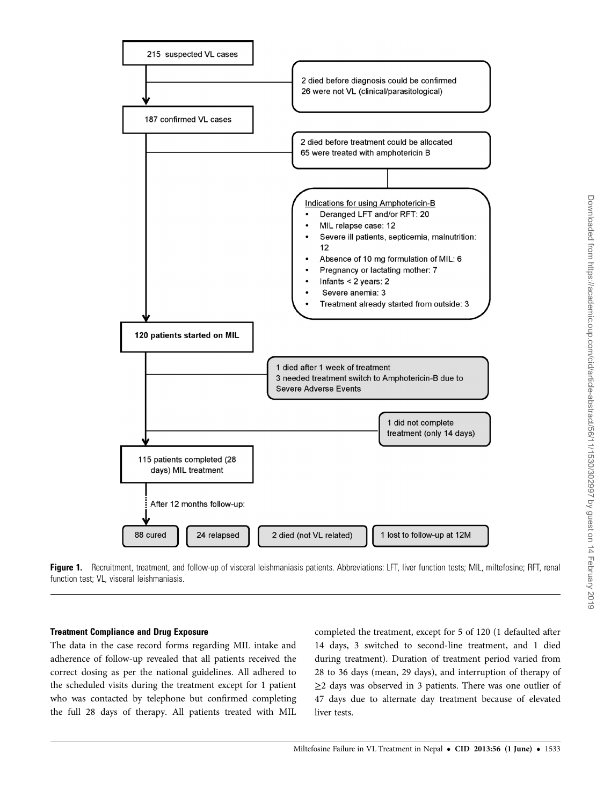<span id="page-3-0"></span>

Figure 1. Recruitment, treatment, and follow-up of visceral leishmaniasis patients. Abbreviations: LFT, liver function tests; MIL, miltefosine; RFT, renal function test; VL, visceral leishmaniasis.

### Treatment Compliance and Drug Exposure

The data in the case record forms regarding MIL intake and adherence of follow-up revealed that all patients received the correct dosing as per the national guidelines. All adhered to the scheduled visits during the treatment except for 1 patient who was contacted by telephone but confirmed completing the full 28 days of therapy. All patients treated with MIL

completed the treatment, except for 5 of 120 (1 defaulted after 14 days, 3 switched to second-line treatment, and 1 died during treatment). Duration of treatment period varied from 28 to 36 days (mean, 29 days), and interruption of therapy of ≥2 days was observed in 3 patients. There was one outlier of 47 days due to alternate day treatment because of elevated liver tests.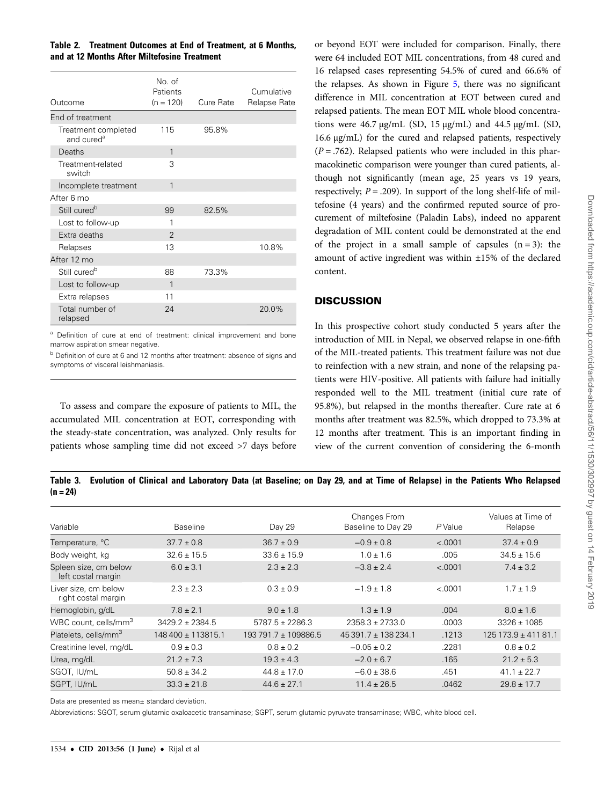<span id="page-4-0"></span>Table 2. Treatment Outcomes at End of Treatment, at 6 Months, and at 12 Months After Miltefosine Treatment

| Outcome                                       | No. of<br>Patients<br>$(n = 120)$ | Cure Rate | Cumulative<br>Relapse Rate |
|-----------------------------------------------|-----------------------------------|-----------|----------------------------|
| End of treatment                              |                                   |           |                            |
| Treatment completed<br>and cured <sup>a</sup> | 115                               | 95.8%     |                            |
| Deaths                                        | 1                                 |           |                            |
| Treatment-related<br>switch                   | 3                                 |           |                            |
| Incomplete treatment                          | 1                                 |           |                            |
| After 6 mo                                    |                                   |           |                            |
| Still cured <sup>b</sup>                      | 99                                | 82.5%     |                            |
| Lost to follow-up                             | 1                                 |           |                            |
| Extra deaths                                  | $\overline{2}$                    |           |                            |
| Relapses                                      | 13                                |           | 10.8%                      |
| After 12 mo                                   |                                   |           |                            |
| Still cured <sup>b</sup>                      | 88                                | 73.3%     |                            |
| Lost to follow-up                             | 1                                 |           |                            |
| Extra relapses                                | 11                                |           |                            |
| Total number of<br>relapsed                   | 24                                |           | 20.0%                      |

<sup>a</sup> Definition of cure at end of treatment: clinical improvement and bone marrow aspiration smear negative.

<sup>b</sup> Definition of cure at 6 and 12 months after treatment: absence of signs and symptoms of visceral leishmaniasis.

To assess and compare the exposure of patients to MIL, the accumulated MIL concentration at EOT, corresponding with the steady-state concentration, was analyzed. Only results for patients whose sampling time did not exceed >7 days before or beyond EOT were included for comparison. Finally, there were 64 included EOT MIL concentrations, from 48 cured and 16 relapsed cases representing 54.5% of cured and 66.6% of the relapses. As shown in Figure [5,](#page-7-0) there was no significant difference in MIL concentration at EOT between cured and relapsed patients. The mean EOT MIL whole blood concentrations were  $46.7 \mu g/mL$  (SD,  $15 \mu g/mL$ ) and  $44.5 \mu g/mL$  (SD, 16.6 µg/mL) for the cured and relapsed patients, respectively  $(P = .762)$ . Relapsed patients who were included in this pharmacokinetic comparison were younger than cured patients, although not significantly (mean age, 25 years vs 19 years, respectively;  $P = .209$ ). In support of the long shelf-life of miltefosine (4 years) and the confirmed reputed source of procurement of miltefosine (Paladin Labs), indeed no apparent degradation of MIL content could be demonstrated at the end of the project in a small sample of capsules  $(n = 3)$ : the amount of active ingredient was within ±15% of the declared content.

## **DISCUSSION**

In this prospective cohort study conducted 5 years after the introduction of MIL in Nepal, we observed relapse in one-fifth of the MIL-treated patients. This treatment failure was not due to reinfection with a new strain, and none of the relapsing patients were HIV-positive. All patients with failure had initially responded well to the MIL treatment (initial cure rate of 95.8%), but relapsed in the months thereafter. Cure rate at 6 months after treatment was 82.5%, which dropped to 73.3% at 12 months after treatment. This is an important finding in view of the current convention of considering the 6-month

Table 3. Evolution of Clinical and Laboratory Data (at Baseline; on Day 29, and at Time of Relapse) in the Patients Who Relapsed  $(n = 24)$ 

| Variable                                    | <b>Baseline</b>     | Day 29               | Changes From<br>Baseline to Day 29 | P Value | Values at Time of<br>Relapse |
|---------------------------------------------|---------------------|----------------------|------------------------------------|---------|------------------------------|
| Temperature, °C                             | $37.7 \pm 0.8$      | $36.7 \pm 0.9$       | $-0.9 \pm 0.8$                     | < .0001 | $37.4 \pm 0.9$               |
| Body weight, kg                             | $32.6 \pm 15.5$     | $33.6 \pm 15.9$      | $1.0 \pm 1.6$                      | .005    | $34.5 \pm 15.6$              |
| Spleen size, cm below<br>left costal margin | $6.0 \pm 3.1$       | $2.3 \pm 2.3$        | $-3.8 \pm 2.4$                     | < .0001 | $7.4 \pm 3.2$                |
| Liver size, cm below<br>right costal margin | $2.3 \pm 2.3$       | $0.3 \pm 0.9$        | $-1.9 \pm 1.8$                     | < .0001 | $1.7 \pm 1.9$                |
| Hemoglobin, g/dL                            | $7.8 \pm 2.1$       | $9.0 \pm 1.8$        | $1.3 \pm 1.9$                      | .004    | $8.0 \pm 1.6$                |
| WBC count, cells/mm <sup>3</sup>            | $3429.2 \pm 2384.5$ | $5787.5 \pm 2286.3$  | $2358.3 \pm 2733.0$                | .0003   | $3326 \pm 1085$              |
| Platelets, cells/mm <sup>3</sup>            | 148 400 ± 113815.1  | 193 791.7 ± 109886.5 | $45391.7 \pm 138234.1$             | .1213   | $125173.9 \pm 41181.1$       |
| Creatinine level, mg/dL                     | $0.9 \pm 0.3$       | $0.8 \pm 0.2$        | $-0.05 \pm 0.2$                    | .2281   | $0.8 \pm 0.2$                |
| Urea, mg/dL                                 | $21.2 \pm 7.3$      | $19.3 \pm 4.3$       | $-2.0 \pm 6.7$                     | .165    | $21.2 \pm 5.3$               |
| SGOT, IU/mL                                 | $50.8 \pm 34.2$     | $44.8 \pm 17.0$      | $-6.0 \pm 38.6$                    | .451    | $41.1 \pm 22.7$              |
| SGPT, IU/mL                                 | $33.3 \pm 21.8$     | $44.6 \pm 27.1$      | $11.4 \pm 26.5$                    | .0462   | $29.8 \pm 17.7$              |

Data are presented as mean± standard deviation.

Abbreviations: SGOT, serum glutamic oxaloacetic transaminase; SGPT, serum glutamic pyruvate transaminase; WBC, white blood cell.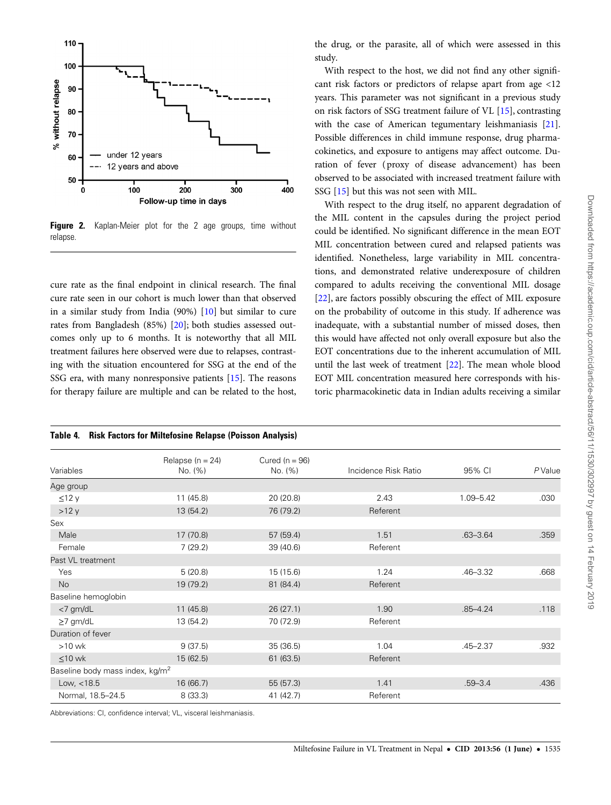<span id="page-5-0"></span>

Figure 2. Kaplan-Meier plot for the 2 age groups, time without relapse.

cure rate as the final endpoint in clinical research. The final cure rate seen in our cohort is much lower than that observed in a similar study from India (90%) [\[10\]](#page-8-0) but similar to cure rates from Bangladesh (85%) [\[20](#page-8-0)]; both studies assessed outcomes only up to 6 months. It is noteworthy that all MIL treatment failures here observed were due to relapses, contrasting with the situation encountered for SSG at the end of the SSG era, with many nonresponsive patients [[15\]](#page-8-0). The reasons for therapy failure are multiple and can be related to the host,

the drug, or the parasite, all of which were assessed in this study.

With respect to the host, we did not find any other significant risk factors or predictors of relapse apart from age <12 years. This parameter was not significant in a previous study on risk factors of SSG treatment failure of VL [\[15](#page-8-0)], contrasting with the case of American tegumentary leishmaniasis [\[21\]](#page-8-0). Possible differences in child immune response, drug pharmacokinetics, and exposure to antigens may affect outcome. Duration of fever ( proxy of disease advancement) has been observed to be associated with increased treatment failure with SSG [[15\]](#page-8-0) but this was not seen with MIL.

With respect to the drug itself, no apparent degradation of the MIL content in the capsules during the project period could be identified. No significant difference in the mean EOT MIL concentration between cured and relapsed patients was identified. Nonetheless, large variability in MIL concentrations, and demonstrated relative underexposure of children compared to adults receiving the conventional MIL dosage [\[22](#page-8-0)], are factors possibly obscuring the effect of MIL exposure on the probability of outcome in this study. If adherence was inadequate, with a substantial number of missed doses, then this would have affected not only overall exposure but also the EOT concentrations due to the inherent accumulation of MIL until the last week of treatment [[22\]](#page-8-0). The mean whole blood EOT MIL concentration measured here corresponds with historic pharmacokinetic data in Indian adults receiving a similar

| <b>Risk Factors for Miltefosine Relapse (Poisson Analysis)</b><br>Table 4. |                                 |                               |                      |              |         |  |  |
|----------------------------------------------------------------------------|---------------------------------|-------------------------------|----------------------|--------------|---------|--|--|
| Variables                                                                  | Relapse ( $n = 24$ )<br>No. (%) | Cured ( $n = 96$ )<br>No. (%) | Incidence Risk Ratio | 95% CI       | P Value |  |  |
| Age group                                                                  |                                 |                               |                      |              |         |  |  |
| $\leq$ 12 y                                                                | 11(45.8)                        | 20 (20.8)                     | 2.43                 | 1.09-5.42    | .030    |  |  |
| >12y                                                                       | 13 (54.2)                       | 76 (79.2)                     | Referent             |              |         |  |  |
| Sex                                                                        |                                 |                               |                      |              |         |  |  |
| Male                                                                       | 17 (70.8)                       | 57 (59.4)                     | 1.51                 | $.63 - 3.64$ | .359    |  |  |
| Female                                                                     | 7(29.2)                         | 39 (40.6)                     | Referent             |              |         |  |  |
| Past VL treatment                                                          |                                 |                               |                      |              |         |  |  |
| Yes                                                                        | 5(20.8)                         | 15 (15.6)                     | 1.24                 | $.46 - 3.32$ | .668    |  |  |
| <b>No</b>                                                                  | 19 (79.2)                       | 81 (84.4)                     | Referent             |              |         |  |  |
| Baseline hemoglobin                                                        |                                 |                               |                      |              |         |  |  |
| $<$ 7 gm/dL                                                                | 11(45.8)                        | 26(27.1)                      | 1.90                 | $.85 - 4.24$ | .118    |  |  |
| $\geq$ 7 gm/dL                                                             | 13 (54.2)                       | 70 (72.9)                     | Referent             |              |         |  |  |
| Duration of fever                                                          |                                 |                               |                      |              |         |  |  |
| $>10$ wk                                                                   | 9(37.5)                         | 35(36.5)                      | 1.04                 | $.45 - 2.37$ | .932    |  |  |
| $\leq 10$ wk                                                               | 15(62.5)                        | 61(63.5)                      | Referent             |              |         |  |  |
| Baseline body mass index, kg/m <sup>2</sup>                                |                                 |                               |                      |              |         |  |  |
| Low, $<$ 18.5                                                              | 16 (66.7)                       | 55 (57.3)                     | 1.41                 | $.59 - 3.4$  | .436    |  |  |
| Normal, 18.5-24.5                                                          | 8(33.3)                         | 41 (42.7)                     | Referent             |              |         |  |  |

Abbreviations: CI, confidence interval; VL, visceral leishmaniasis.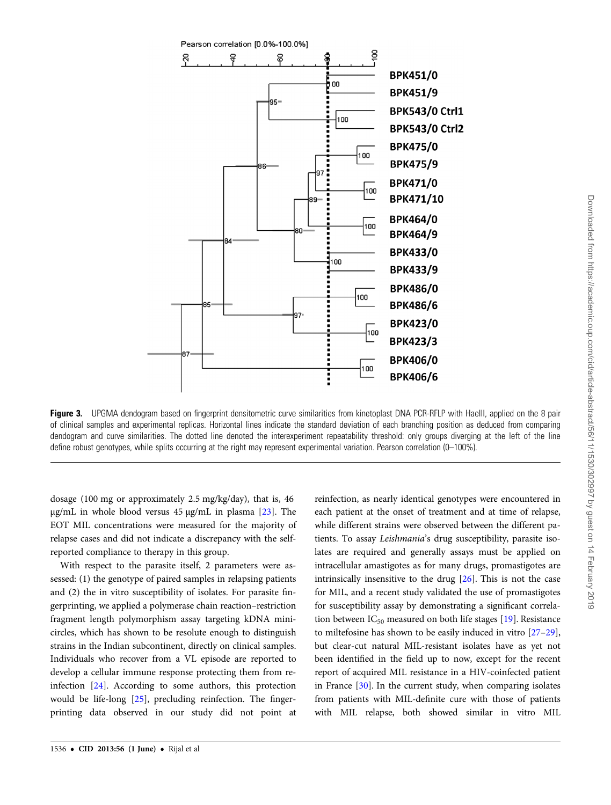<span id="page-6-0"></span>

Figure 3. UPGMA dendogram based on fingerprint densitometric curve similarities from kinetoplast DNA PCR-RFLP with HaeIII, applied on the 8 pair of clinical samples and experimental replicas. Horizontal lines indicate the standard deviation of each branching position as deduced from comparing dendogram and curve similarities. The dotted line denoted the interexperiment repeatability threshold: only groups diverging at the left of the line define robust genotypes, while splits occurring at the right may represent experimental variation. Pearson correlation (0–100%).

dosage (100 mg or approximately 2.5 mg/kg/day), that is, 46  $\mu$ g/mL in whole blood versus 45  $\mu$ g/mL in plasma [[23\]](#page-8-0). The EOT MIL concentrations were measured for the majority of relapse cases and did not indicate a discrepancy with the selfreported compliance to therapy in this group.

With respect to the parasite itself, 2 parameters were assessed: (1) the genotype of paired samples in relapsing patients and (2) the in vitro susceptibility of isolates. For parasite fingerprinting, we applied a polymerase chain reaction–restriction fragment length polymorphism assay targeting kDNA minicircles, which has shown to be resolute enough to distinguish strains in the Indian subcontinent, directly on clinical samples. Individuals who recover from a VL episode are reported to develop a cellular immune response protecting them from reinfection [\[24](#page-8-0)]. According to some authors, this protection would be life-long [[25\]](#page-8-0), precluding reinfection. The fingerprinting data observed in our study did not point at

reinfection, as nearly identical genotypes were encountered in each patient at the onset of treatment and at time of relapse, while different strains were observed between the different patients. To assay Leishmania's drug susceptibility, parasite isolates are required and generally assays must be applied on intracellular amastigotes as for many drugs, promastigotes are intrinsically insensitive to the drug [\[26\]](#page-8-0). This is not the case for MIL, and a recent study validated the use of promastigotes for susceptibility assay by demonstrating a significant correlation between  $IC_{50}$  measured on both life stages [[19\]](#page-8-0). Resistance to miltefosine has shown to be easily induced in vitro [\[27](#page-8-0)–[29\]](#page-8-0), but clear-cut natural MIL-resistant isolates have as yet not been identified in the field up to now, except for the recent report of acquired MIL resistance in a HIV-coinfected patient in France [[30](#page-8-0)]. In the current study, when comparing isolates from patients with MIL-definite cure with those of patients with MIL relapse, both showed similar in vitro MIL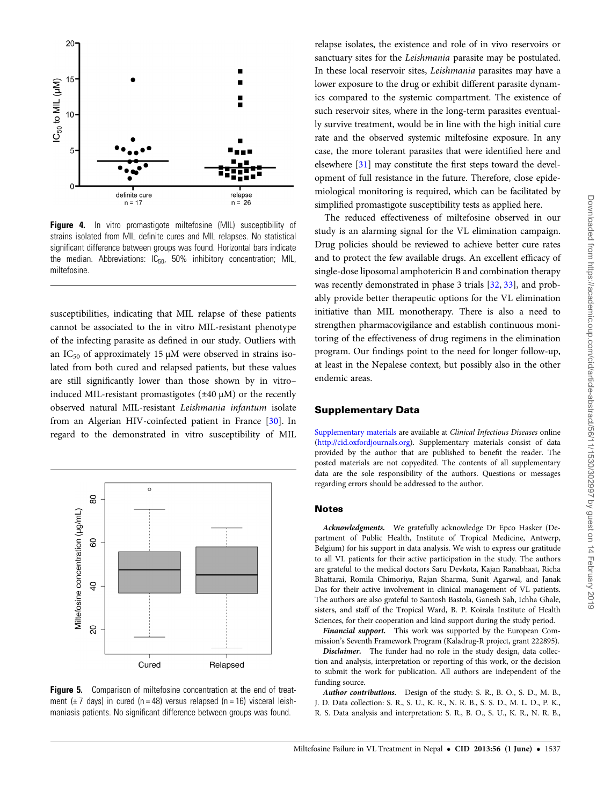<span id="page-7-0"></span>

**Figure 4.** In vitro promastigote miltefosine (MIL) susceptibility of strains isolated from MIL definite cures and MIL relapses. No statistical significant difference between groups was found. Horizontal bars indicate the median. Abbreviations:  $IC_{50}$ , 50% inhibitory concentration; MIL, miltefosine.

susceptibilities, indicating that MIL relapse of these patients cannot be associated to the in vitro MIL-resistant phenotype of the infecting parasite as defined in our study. Outliers with an IC<sub>50</sub> of approximately 15  $\mu$ M were observed in strains isolated from both cured and relapsed patients, but these values are still significantly lower than those shown by in vitro– induced MIL-resistant promastigotes  $(\pm 40 \mu)$  or the recently observed natural MIL-resistant Leishmania infantum isolate from an Algerian HIV-coinfected patient in France [\[30\]](#page-8-0). In regard to the demonstrated in vitro susceptibility of MIL





relapse isolates, the existence and role of in vivo reservoirs or sanctuary sites for the Leishmania parasite may be postulated. In these local reservoir sites, Leishmania parasites may have a lower exposure to the drug or exhibit different parasite dynamics compared to the systemic compartment. The existence of such reservoir sites, where in the long-term parasites eventually survive treatment, would be in line with the high initial cure rate and the observed systemic miltefosine exposure. In any case, the more tolerant parasites that were identified here and elsewhere [[31\]](#page-8-0) may constitute the first steps toward the development of full resistance in the future. Therefore, close epidemiological monitoring is required, which can be facilitated by simplified promastigote susceptibility tests as applied here.

The reduced effectiveness of miltefosine observed in our study is an alarming signal for the VL elimination campaign. Drug policies should be reviewed to achieve better cure rates and to protect the few available drugs. An excellent efficacy of single-dose liposomal amphotericin B and combination therapy was recently demonstrated in phase 3 trials [\[32,](#page-8-0) [33\]](#page-8-0), and probably provide better therapeutic options for the VL elimination initiative than MIL monotherapy. There is also a need to strengthen pharmacovigilance and establish continuous monitoring of the effectiveness of drug regimens in the elimination program. Our findings point to the need for longer follow-up, at least in the Nepalese context, but possibly also in the other endemic areas.

### Supplementary Data

[Supplementary materials](http://cid.oxfordjournals.org/lookup/suppl/doi:10.1093/cid/cit102/-/DC1) are available at Clinical Infectious Diseases online (<http://cid.oxfordjournals.org>). Supplementary materials consist of data provided by the author that are published to benefit the reader. The posted materials are not copyedited. The contents of all supplementary data are the sole responsibility of the authors. Questions or messages regarding errors should be addressed to the author.

#### Notes

Acknowledgments. We gratefully acknowledge Dr Epco Hasker (Department of Public Health, Institute of Tropical Medicine, Antwerp, Belgium) for his support in data analysis. We wish to express our gratitude to all VL patients for their active participation in the study. The authors are grateful to the medical doctors Saru Devkota, Kajan Ranabhaat, Richa Bhattarai, Romila Chimoriya, Rajan Sharma, Sunit Agarwal, and Janak Das for their active involvement in clinical management of VL patients. The authors are also grateful to Santosh Bastola, Ganesh Sah, Ichha Ghale, sisters, and staff of the Tropical Ward, B. P. Koirala Institute of Health Sciences, for their cooperation and kind support during the study period.

Financial support. This work was supported by the European Commission's Seventh Framework Program (Kaladrug-R project, grant 222895).

Disclaimer. The funder had no role in the study design, data collection and analysis, interpretation or reporting of this work, or the decision to submit the work for publication. All authors are independent of the funding source.

Author contributions. Design of the study: S. R., B. O., S. D., M. B., J. D. Data collection: S. R., S. U., K. R., N. R. B., S. S. D., M. L. D., P. K., R. S. Data analysis and interpretation: S. R., B. O., S. U., K. R., N. R. B.,